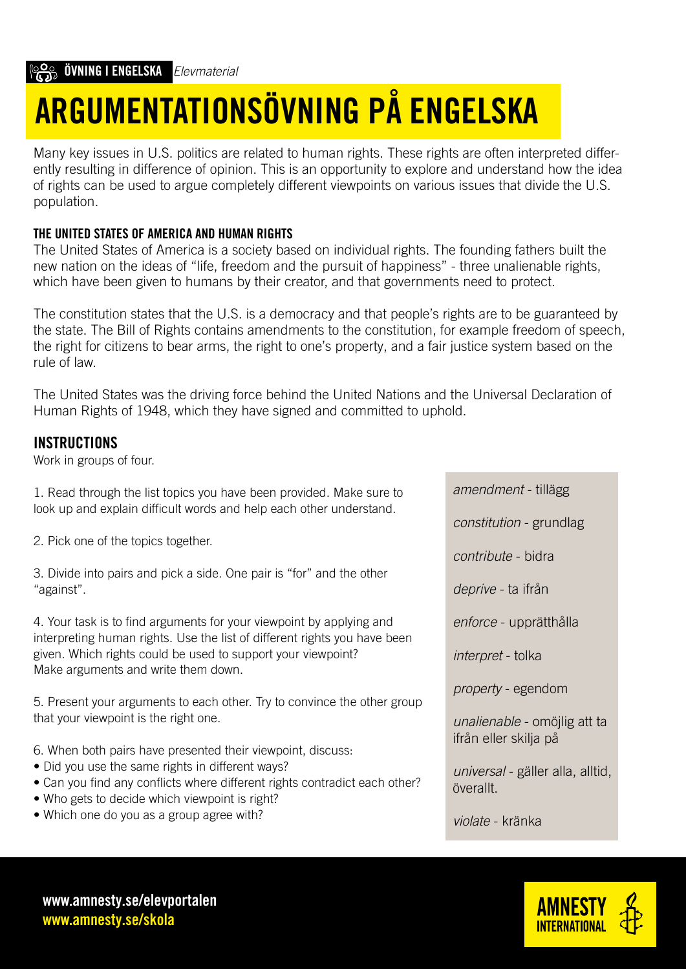# ARGUMENTATIONSÖVNING PÅ ENGELSKA

Many key issues in U.S. politics are related to human rights. These rights are often interpreted differently resulting in difference of opinion. This is an opportunity to explore and understand how the idea of rights can be used to argue completely different viewpoints on various issues that divide the U.S. population.

#### THE UNITED STATES OF AMERICA AND HUMAN RIGHTS

The United States of America is a society based on individual rights. The founding fathers built the new nation on the ideas of "life, freedom and the pursuit of happiness" - three unalienable rights, which have been given to humans by their creator, and that governments need to protect.

The constitution states that the U.S. is a democracy and that people's rights are to be guaranteed by the state. The Bill of Rights contains amendments to the constitution, for example freedom of speech, the right for citizens to bear arms, the right to one's property, and a fair justice system based on the rule of law.

The United States was the driving force behind the United Nations and the Universal Declaration of Human Rights of 1948, which they have signed and committed to uphold.

#### INSTRUCTIONS

Work in groups of four.

1. Read through the list topics you have been provided. Make sure to look up and explain difficult words and help each other understand.

2. Pick one of the topics together.

3. Divide into pairs and pick a side. One pair is "for" and the other "against".

4. Your task is to find arguments for your viewpoint by applying and interpreting human rights. Use the list of different rights you have been given. Which rights could be used to support your viewpoint? Make arguments and write them down.

5. Present your arguments to each other. Try to convince the other group that your viewpoint is the right one.

- 6. When both pairs have presented their viewpoint, discuss:
- Did you use the same rights in different ways?
- Can you find any conflicts where different rights contradict each other?
- Who gets to decide which viewpoint is right?
- Which one do you as a group agree with?

*amendment* - tillägg

*constitution* - grundlag

*contribute* - bidra

*deprive* - ta ifrån

*enforce* - upprätthålla

*interpret* - tolka

*property* - egendom

*unalienable* - omöjlig att ta ifrån eller skilja på

*universal* - gäller alla, alltid, överallt.

*violate* - kränka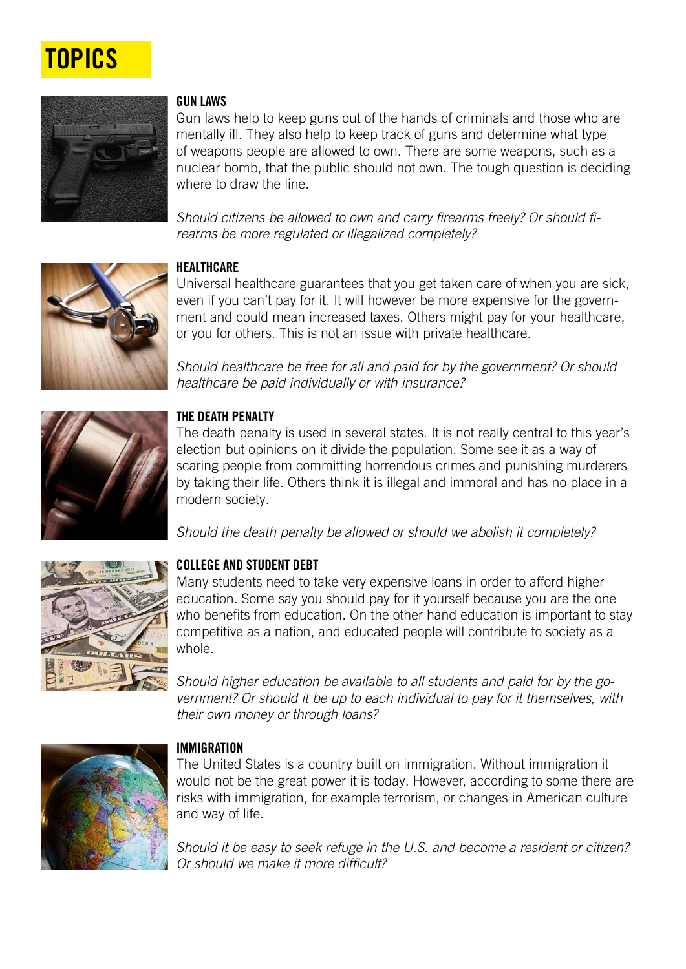# **TOPICS**



#### GUN LAWS

Gun laws help to keep guns out of the hands of criminals and those who are mentally ill. They also help to keep track of guns and determine what type of weapons people are allowed to own. There are some weapons, such as a nuclear bomb, that the public should not own. The tough question is deciding where to draw the line.

Should citizens be allowed to own and carry firearms freely? Or should firearms be more regulated or illegalized completely?



#### **HEALTHCARE**

Universal healthcare guarantees that you get taken care of when you are sick, even if you can't pay for it. It will however be more expensive for the government and could mean increased taxes. Others might pay for your healthcare, or you for others. This is not an issue with private healthcare.

Should healthcare be free for all and paid for by the government? Or should healthcare be paid individually or with insurance?



#### THE DEATH PENALTY

The death penalty is used in several states. It is not really central to this year's election but opinions on it divide the population. Some see it as a way of scaring people from committing horrendous crimes and punishing murderers by taking their life. Others think it is illegal and immoral and has no place in a modern society.

Should the death penalty be allowed or should we abolish it completely?



#### COLLEGE AND STUDENT DEBT

Many students need to take very expensive loans in order to afford higher education. Some say you should pay for it yourself because you are the one who benefits from education. On the other hand education is important to stay competitive as a nation, and educated people will contribute to society as a whole.

*Should higher education be available to all students and paid for by the go*vernment? Or should it be up to each individual to pay for it themselves, with their own money or through loans?



#### IMMIGRATION

The United States is a country built on immigration. Without immigration it would not be the great power it is today. However, according to some there are risks with immigration, for example terrorism, or changes in American culture and way of life.

Should it be easy to seek refuge in the U.S. and become a resident or citizen? Or should we make it more difficult?